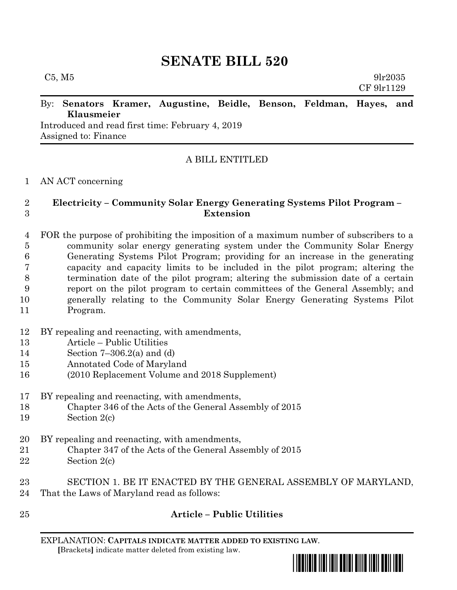# **SENATE BILL 520**

 $C5, M5$  9lr2035 CF 9lr1129

### By: **Senators Kramer, Augustine, Beidle, Benson, Feldman, Hayes, and Klausmeier**

Introduced and read first time: February 4, 2019 Assigned to: Finance

# A BILL ENTITLED

### AN ACT concerning

## **Electricity – Community Solar Energy Generating Systems Pilot Program – Extension**

 FOR the purpose of prohibiting the imposition of a maximum number of subscribers to a community solar energy generating system under the Community Solar Energy Generating Systems Pilot Program; providing for an increase in the generating capacity and capacity limits to be included in the pilot program; altering the termination date of the pilot program; altering the submission date of a certain report on the pilot program to certain committees of the General Assembly; and generally relating to the Community Solar Energy Generating Systems Pilot Program.

- BY repealing and reenacting, with amendments,
- Article Public Utilities
- Section 7–306.2(a) and (d)
- Annotated Code of Maryland
- (2010 Replacement Volume and 2018 Supplement)

BY repealing and reenacting, with amendments,

- Chapter 346 of the Acts of the General Assembly of 2015
- Section 2(c)
- BY repealing and reenacting, with amendments,
- Chapter 347 of the Acts of the General Assembly of 2015
- Section 2(c)
- SECTION 1. BE IT ENACTED BY THE GENERAL ASSEMBLY OF MARYLAND, That the Laws of Maryland read as follows:
- 

# **Article – Public Utilities**

EXPLANATION: **CAPITALS INDICATE MATTER ADDED TO EXISTING LAW**.  **[**Brackets**]** indicate matter deleted from existing law.

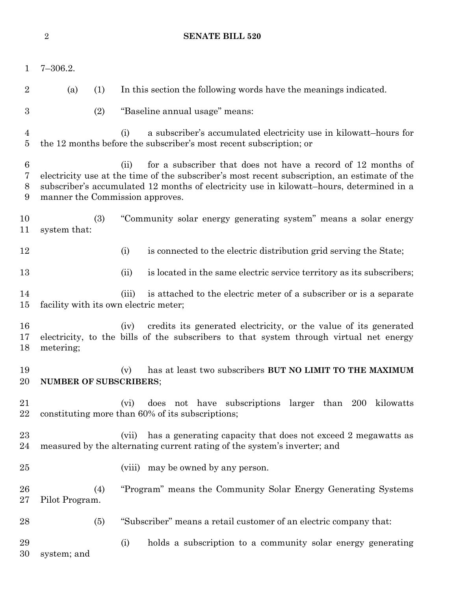| $\mathbf 1$                    | $7 - 306.2.$                          |                                                                                                                                                                                                                                                                  |
|--------------------------------|---------------------------------------|------------------------------------------------------------------------------------------------------------------------------------------------------------------------------------------------------------------------------------------------------------------|
| $\overline{2}$                 | (a)<br>(1)                            | In this section the following words have the meanings indicated.                                                                                                                                                                                                 |
| $\boldsymbol{3}$               | (2)                                   | "Baseline annual usage" means:                                                                                                                                                                                                                                   |
| 4<br>$\overline{5}$            |                                       | a subscriber's accumulated electricity use in kilowatt-hours for<br>(i)<br>the 12 months before the subscriber's most recent subscription; or                                                                                                                    |
| $6\phantom{.}6$<br>7<br>8<br>9 | manner the Commission approves.       | for a subscriber that does not have a record of 12 months of<br>(ii)<br>electricity use at the time of the subscriber's most recent subscription, an estimate of the<br>subscriber's accumulated 12 months of electricity use in kilowatt-hours, determined in a |
| 10<br>11                       | (3)<br>system that:                   | "Community solar energy generating system" means a solar energy                                                                                                                                                                                                  |
| 12                             |                                       | is connected to the electric distribution grid serving the State;<br>(i)                                                                                                                                                                                         |
| 13                             |                                       | is located in the same electric service territory as its subscribers;<br>(ii)                                                                                                                                                                                    |
| 14<br>15                       | facility with its own electric meter; | is attached to the electric meter of a subscriber or is a separate<br>(iii)                                                                                                                                                                                      |
| 16<br>17<br>18                 | metering;                             | credits its generated electricity, or the value of its generated<br>(iv)<br>electricity, to the bills of the subscribers to that system through virtual net energy                                                                                               |
| 19<br>20                       | <b>NUMBER OF SUBSCRIBERS;</b>         | has at least two subscribers BUT NO LIMIT TO THE MAXIMUM<br>(v)                                                                                                                                                                                                  |
| 21<br>22                       |                                       | does not have subscriptions larger than 200 kilowatts<br>(vi)<br>constituting more than 60% of its subscriptions;                                                                                                                                                |
| $23\,$<br>24                   |                                       | has a generating capacity that does not exceed 2 megawatts as<br>(vii)<br>measured by the alternating current rating of the system's inverter; and                                                                                                               |
| 25                             |                                       | (viii) may be owned by any person.                                                                                                                                                                                                                               |
| 26<br>$27\,$                   | (4)<br>Pilot Program.                 | "Program" means the Community Solar Energy Generating Systems                                                                                                                                                                                                    |
| 28                             | (5)                                   | "Subscriber" means a retail customer of an electric company that:                                                                                                                                                                                                |
| 29<br>30                       | system; and                           | (i)<br>holds a subscription to a community solar energy generating                                                                                                                                                                                               |

**SENATE BILL 520**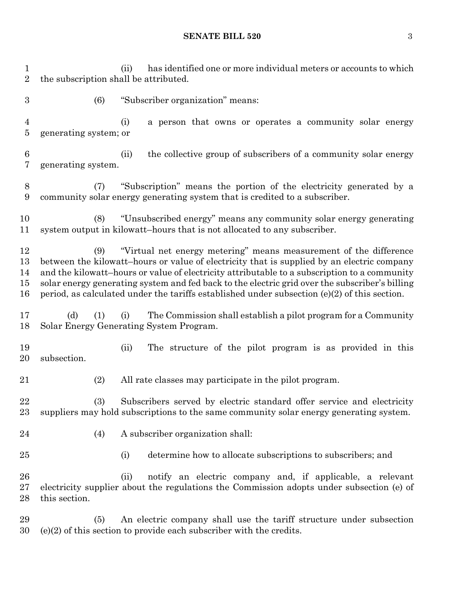**SENATE BILL 520** 3

 (ii) has identified one or more individual meters or accounts to which the subscription shall be attributed. (6) "Subscriber organization" means: (i) a person that owns or operates a community solar energy generating system; or (ii) the collective group of subscribers of a community solar energy generating system. (7) "Subscription" means the portion of the electricity generated by a community solar energy generating system that is credited to a subscriber. (8) "Unsubscribed energy" means any community solar energy generating system output in kilowatt–hours that is not allocated to any subscriber. (9) "Virtual net energy metering" means measurement of the difference between the kilowatt–hours or value of electricity that is supplied by an electric company and the kilowatt–hours or value of electricity attributable to a subscription to a community solar energy generating system and fed back to the electric grid over the subscriber's billing period, as calculated under the tariffs established under subsection (e)(2) of this section. (d) (1) (i) The Commission shall establish a pilot program for a Community Solar Energy Generating System Program. (ii) The structure of the pilot program is as provided in this subsection. (2) All rate classes may participate in the pilot program. (3) Subscribers served by electric standard offer service and electricity suppliers may hold subscriptions to the same community solar energy generating system. (4) A subscriber organization shall: (i) determine how to allocate subscriptions to subscribers; and (ii) notify an electric company and, if applicable, a relevant electricity supplier about the regulations the Commission adopts under subsection (e) of this section. (5) An electric company shall use the tariff structure under subsection (e)(2) of this section to provide each subscriber with the credits.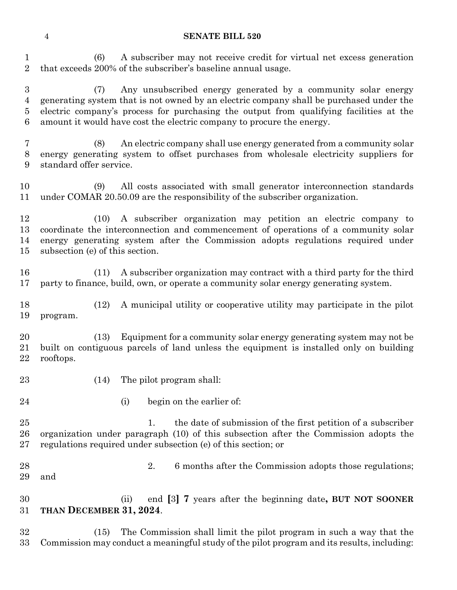#### **SENATE BILL 520**

 (6) A subscriber may not receive credit for virtual net excess generation that exceeds 200% of the subscriber's baseline annual usage.

 (7) Any unsubscribed energy generated by a community solar energy generating system that is not owned by an electric company shall be purchased under the electric company's process for purchasing the output from qualifying facilities at the amount it would have cost the electric company to procure the energy.

 (8) An electric company shall use energy generated from a community solar energy generating system to offset purchases from wholesale electricity suppliers for standard offer service.

 (9) All costs associated with small generator interconnection standards under COMAR 20.50.09 are the responsibility of the subscriber organization.

 (10) A subscriber organization may petition an electric company to coordinate the interconnection and commencement of operations of a community solar energy generating system after the Commission adopts regulations required under subsection (e) of this section.

 (11) A subscriber organization may contract with a third party for the third party to finance, build, own, or operate a community solar energy generating system.

 (12) A municipal utility or cooperative utility may participate in the pilot program.

 (13) Equipment for a community solar energy generating system may not be built on contiguous parcels of land unless the equipment is installed only on building rooftops.

- 
- (14) The pilot program shall:
- 
- 
- 24 (i) begin on the earlier of:

25 1. the date of submission of the first petition of a subscriber organization under paragraph (10) of this subsection after the Commission adopts the regulations required under subsection (e) of this section; or

28 28 2. 6 months after the Commission adopts those regulations; and

 (ii) end **[**3**] 7** years after the beginning date**, BUT NOT SOONER THAN DECEMBER 31, 2024**.

 (15) The Commission shall limit the pilot program in such a way that the Commission may conduct a meaningful study of the pilot program and its results, including: